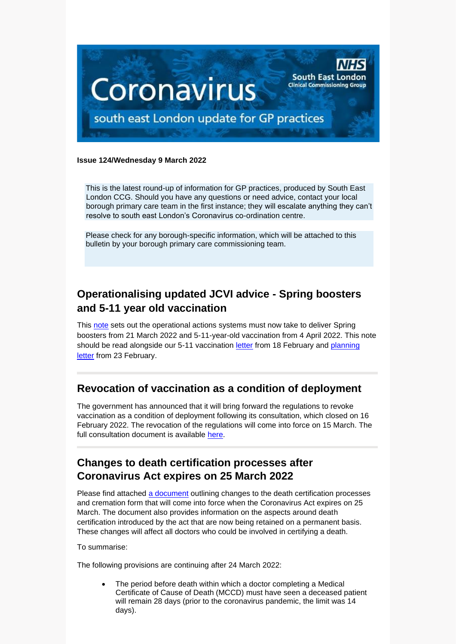

#### **Issue 124/Wednesday 9 March 2022**

This is the latest round-up of information for GP practices, produced by South East London CCG. Should you have any questions or need advice, contact your local borough primary care team in the first instance; they will escalate anything they can't resolve to south east London's Coronavirus co-ordination centre.

Please check for any borough-specific information, which will be attached to this bulletin by your borough primary care commissioning team.

# **Operationalising updated JCVI advice - Spring boosters and 5-11 year old vaccination**

This [note](https://selondonccg.nhs.uk/wp-content/uploads/2022/03/Operationalising-updated-JCVI-advice-Spring-boosters-and-5-11-year-old-vaccination.pdf) sets out the operational actions systems must now take to deliver Spring boosters from 21 March 2022 and 5-11-year-old vaccination from 4 April 2022. This note should be read alongside our 5-11 vaccination [letter](https://www.england.nhs.uk/coronavirus/publication/updated-jcvi-advice-for-vaccinating-5-to-11-year-olds/) from 18 February and [planning](https://www.england.nhs.uk/coronavirus/publication/next-steps-for-the-nhs-covid-19-vaccination-programme-planning-and-delivery/)  [letter](https://www.england.nhs.uk/coronavirus/publication/next-steps-for-the-nhs-covid-19-vaccination-programme-planning-and-delivery/) from 23 February.

# **Revocation of vaccination as a condition of deployment**

The government has announced that it will bring forward the regulations to revoke vaccination as a condition of deployment following its consultation, which closed on 16 February 2022. The revocation of the regulations will come into force on 15 March. The full consultation document is available [here.](https://www.gov.uk/government/consultations/revoking-vaccination-as-a-condition-of-deployment-across-all-health-and-social-care/revoking-vaccination-as-a-condition-of-deployment-across-all-health-and-social-care)

## **Changes to death certification processes after Coronavirus Act expires on 25 March 2022**

Please find attached [a document](https://selondonccg.nhs.uk/wp-content/uploads/2022/03/C1566_-Coronavirus-Act-expiry-Death-certification-and-registration-easements-from-25-March-2022_March-2022.pdf) outlining changes to the death certification processes and cremation form that will come into force when the Coronavirus Act expires on 25 March. The document also provides information on the aspects around death certification introduced by the act that are now being retained on a permanent basis. These changes will affect all doctors who could be involved in certifying a death.

To summarise:

The following provisions are continuing after 24 March 2022:

The period before death within which a doctor completing a Medical Certificate of Cause of Death (MCCD) must have seen a deceased patient will remain 28 days (prior to the coronavirus pandemic, the limit was 14 days).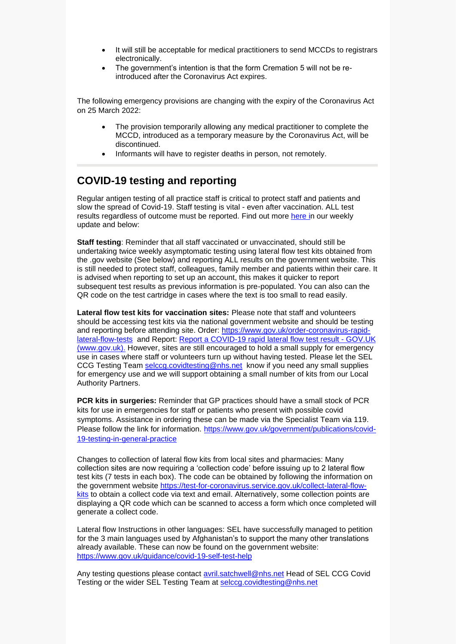- It will still be acceptable for medical practitioners to send MCCDs to registrars electronically.
- The government's intention is that the form Cremation 5 will not be reintroduced after the Coronavirus Act expires.

The following emergency provisions are changing with the expiry of the Coronavirus Act on 25 March 2022:

- The provision temporarily allowing any medical practitioner to complete the MCCD, introduced as a temporary measure by the Coronavirus Act, will be discontinued.
- Informants will have to register deaths in person, not remotely.

#### **COVID-19 testing and reporting**

Regular antigen testing of all practice staff is critical to protect staff and patients and slow the spread of Covid-19. Staff testing is vital - even after vaccination. ALL test results regardless of outcome must be reported. Find out more [here](https://selondonccg.nhs.uk/wp-content/uploads/2022/03/Key-Messages-for-GP-Weekly-Bulletin-4-march-2022.pdf) in our weekly update and below:

**Staff testing**: Reminder that all staff vaccinated or unvaccinated, should still be undertaking twice weekly asymptomatic testing using lateral flow test kits obtained from the .gov website (See below) and reporting ALL results on the government website. This is still needed to protect staff, colleagues, family member and patients within their care. It is advised when reporting to set up an account, this makes it quicker to report subsequent test results as previous information is pre-populated. You can also can the QR code on the test cartridge in cases where the text is too small to read easily.

**Lateral flow test kits for vaccination sites:** Please note that staff and volunteers should be accessing test kits via the national government website and should be testing and reporting before attending site. Order: [https://www.gov.uk/order-coronavirus-rapid](https://www.gov.uk/order-coronavirus-rapid-lateral-flow-tests)[lateral-flow-tests](https://www.gov.uk/order-coronavirus-rapid-lateral-flow-tests) and Report: [Report a COVID-19 rapid lateral flow test result -](https://www.gov.uk/report-covid19-result) GOV.UK [\(www.gov.uk\).](https://www.gov.uk/report-covid19-result) However, sites are still encouraged to hold a small supply for emergency use in cases where staff or volunteers turn up without having tested. Please let the SEL CCG Testing Team [selccg.covidtesting@nhs.net](mailto:selccg.covidtesting@nhs.net) know if you need any small supplies for emergency use and we will support obtaining a small number of kits from our Local Authority Partners.

**PCR kits in surgeries:** Reminder that GP practices should have a small stock of PCR kits for use in emergencies for staff or patients who present with possible covid symptoms. Assistance in ordering these can be made via the Specialist Team via 119. Please follow the link for information. [https://www.gov.uk/government/publications/covid-](https://www.gov.uk/government/publications/covid-19-testing-in-general-practice)[19-testing-in-general-practice](https://www.gov.uk/government/publications/covid-19-testing-in-general-practice)

Changes to collection of lateral flow kits from local sites and pharmacies: Many collection sites are now requiring a 'collection code' before issuing up to 2 lateral flow test kits (7 tests in each box). The code can be obtained by following the information on the government website [https://test-for-coronavirus.service.gov.uk/collect-lateral-flow](https://test-for-coronavirus.service.gov.uk/collect-lateral-flow-kits)[kits](https://test-for-coronavirus.service.gov.uk/collect-lateral-flow-kits) to obtain a collect code via text and email. Alternatively, some collection points are displaying a QR code which can be scanned to access a form which once completed will generate a collect code.

Lateral flow Instructions in other languages: SEL have successfully managed to petition for the 3 main languages used by Afghanistan's to support the many other translations already available. These can now be found on the government website: <https://www.gov.uk/guidance/covid-19-self-test-help>

Any testing questions please contact [avril.satchwell@nhs.net](mailto:avril.satchwell@nhs.net) Head of SEL CCG Covid Testing or the wider SEL Testing Team at [selccg.covidtesting@nhs.net](mailto:selccg.covidtesting@nhs.net)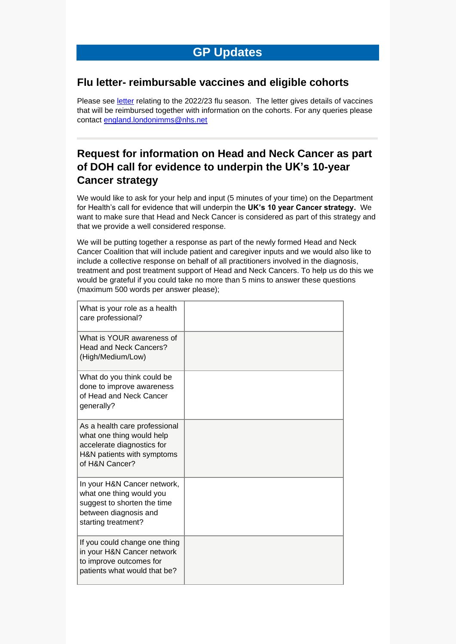# **GP Updates**

#### **Flu letter- reimbursable vaccines and eligible cohorts**

Please see [letter](https://www.england.nhs.uk/publication/annual-seasonal-flu-vaccination-programme-and-reimbursement-guidance/) relating to the 2022/23 flu season. The letter gives details of vaccines that will be reimbursed together with information on the cohorts. For any queries please contact [england.londonimms@nhs.net](mailto:england.londonimms@nhs.net)

# **Request for information on Head and Neck Cancer as part of DOH call for evidence to underpin the UK's 10-year Cancer strategy**

We would like to ask for your help and input (5 minutes of your time) on the Department for Health's call for evidence that will underpin the **UK's 10 year Cancer strategy.** We want to make sure that Head and Neck Cancer is considered as part of this strategy and that we provide a well considered response.

We will be putting together a response as part of the newly formed Head and Neck Cancer Coalition that will include patient and caregiver inputs and we would also like to include a collective response on behalf of all practitioners involved in the diagnosis, treatment and post treatment support of Head and Neck Cancers. To help us do this we would be grateful if you could take no more than 5 mins to answer these questions (maximum 500 words per answer please);

| What is your role as a health<br>care professional?                                                                                      |  |
|------------------------------------------------------------------------------------------------------------------------------------------|--|
| What is YOUR awareness of<br><b>Head and Neck Cancers?</b><br>(High/Medium/Low)                                                          |  |
| What do you think could be<br>done to improve awareness<br>of Head and Neck Cancer<br>generally?                                         |  |
| As a health care professional<br>what one thing would help<br>accelerate diagnostics for<br>H&N patients with symptoms<br>of H&N Cancer? |  |
| In your H&N Cancer network,<br>what one thing would you<br>suggest to shorten the time<br>between diagnosis and<br>starting treatment?   |  |
| If you could change one thing<br>in your H&N Cancer network<br>to improve outcomes for<br>patients what would that be?                   |  |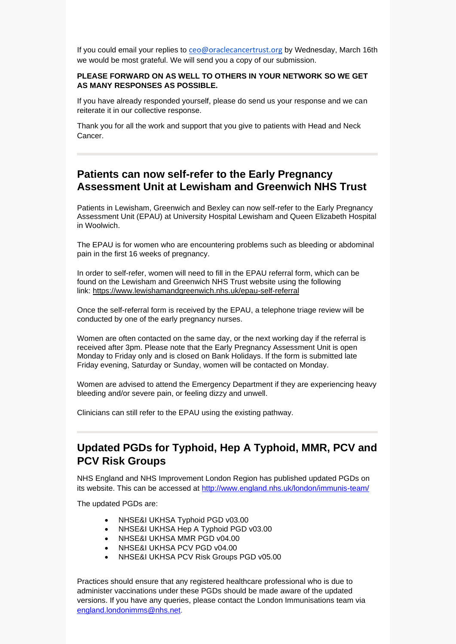If you could email your replies to [ceo@oraclecancertrust.org](mailto:ceo@oraclecancertrust.org) by Wednesday, March 16th we would be most grateful. We will send you a copy of our submission.

#### **PLEASE FORWARD ON AS WELL TO OTHERS IN YOUR NETWORK SO WE GET AS MANY RESPONSES AS POSSIBLE.**

If you have already responded yourself, please do send us your response and we can reiterate it in our collective response.

Thank you for all the work and support that you give to patients with Head and Neck Cancer.

#### **Patients can now self-refer to the Early Pregnancy Assessment Unit at Lewisham and Greenwich NHS Trust**

Patients in Lewisham, Greenwich and Bexley can now self-refer to the Early Pregnancy Assessment Unit (EPAU) at University Hospital Lewisham and Queen Elizabeth Hospital in Woolwich.

The EPAU is for women who are encountering problems such as bleeding or abdominal pain in the first 16 weeks of pregnancy.

In order to self-refer, women will need to fill in the EPAU referral form, which can be found on the Lewisham and Greenwich NHS Trust website using the following link: <https://www.lewishamandgreenwich.nhs.uk/epau-self-referral>

Once the self-referral form is received by the EPAU, a telephone triage review will be conducted by one of the early pregnancy nurses.

Women are often contacted on the same day, or the next working day if the referral is received after 3pm. Please note that the Early Pregnancy Assessment Unit is open Monday to Friday only and is closed on Bank Holidays. If the form is submitted late Friday evening, Saturday or Sunday, women will be contacted on Monday.

Women are advised to attend the Emergency Department if they are experiencing heavy bleeding and/or severe pain, or feeling dizzy and unwell.

Clinicians can still refer to the EPAU using the existing pathway.

# **Updated PGDs for Typhoid, Hep A Typhoid, MMR, PCV and PCV Risk Groups**

NHS England and NHS Improvement London Region has published updated PGDs on its website. This can be accessed at<http://www.england.nhs.uk/london/immunis-team/>

The updated PGDs are:

- NHSE&I UKHSA Typhoid PGD v03.00
- NHSE&I UKHSA Hep A Typhoid PGD v03.00
- NHSE&I UKHSA MMR PGD v04.00
- NHSE&I UKHSA PCV PGD v04.00
- NHSE&I UKHSA PCV Risk Groups PGD v05.00

Practices should ensure that any registered healthcare professional who is due to administer vaccinations under these PGDs should be made aware of the updated versions. If you have any queries, please contact the London Immunisations team via [england.londonimms@nhs.net.](mailto:england.londonimms@nhs.net)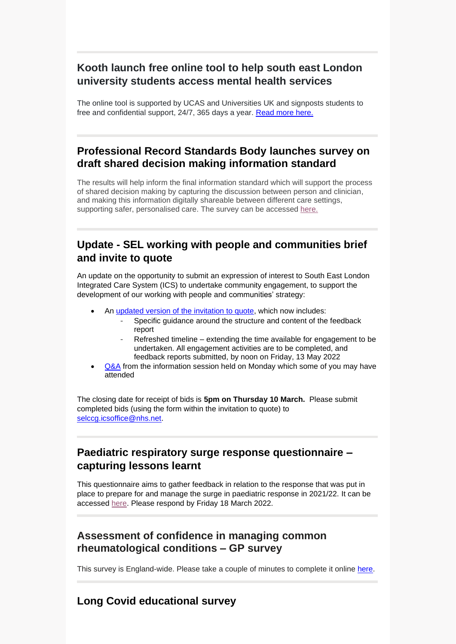# **Kooth launch free online tool to help south east London university students access mental health services**

The online tool is supported by UCAS and Universities UK and signposts students to free and confidential support, 24/7, 365 days a year. [Read more here.](https://selondonccg.nhs.uk/news/whats-on-your-mind-nhs-commissioned-kooth-helps-south-east-london-university-students-access-mental-health-support-and-services/)

# **Professional Record Standards Body launches survey on draft shared decision making information standard**

The results will help inform the final information standard which will support the process of shared decision making by capturing the discussion between person and clinician, and making this information digitally shareable between different care settings, supporting safer, personalised care. The survey can be accessed [here.](https://www.surveymonkey.co.uk/r/WNHHB8D)

# **Update - SEL working with people and communities brief and invite to quote**

An update on the opportunity to submit an expression of interest to South East London Integrated Care System (ICS) to undertake community engagement, to support the development of our working with people and communities' strategy:

- An [updated version of the invitation to quote,](https://selondonccg.nhs.uk/wp-content/uploads/2022/03/SEL-ICS-working-with-people-and-communities-engagement-brief-and-invitation-to-quote-final-02-March-2022.docx) which now includes:
	- Specific guidance around the structure and content of the feedback report
	- Refreshed timeline extending the time available for engagement to be undertaken. All engagement activities are to be completed, and feedback reports submitted, by noon on Friday, 13 May 2022
- [Q&A](https://selondonccg.nhs.uk/wp-content/uploads/2022/03/QA-working-with-people-and-communities-information-session-28-Feb-2022.pdf) from the information session held on Monday which some of you may have attended

The closing date for receipt of bids is **5pm on Thursday 10 March.** Please submit completed bids (using the form within the invitation to quote) to [selccg.icsoffice@nhs.net.](mailto:selccg.icsoffice@nhs.net)

# **Paediatric respiratory surge response questionnaire – capturing lessons learnt**

This questionnaire aims to gather feedback in relation to the response that was put in place to prepare for and manage the surge in paediatric response in 2021/22. It can be accessed [here.](https://scanmail.trustwave.com/?c=8248&d=5bWf4py3S3TOAYpde2TJ-mcrvXLA2QUNmmdCKEKRgA&u=https%3a%2f%2fforms%2eoffice%2ecom%2fPages%2fResponsePage%2easpx%3fid%3dkp4VA8ZyI0umSq9Q55Ctv0Ijd0K43Z5LquBGHcjqZvJUQ0E2MDA5QVFLN05GRllJNk9KSEdMSElaUC4u) Please respond by Friday 18 March 2022.

## **Assessment of confidence in managing common rheumatological conditions – GP survey**

This survey is England-wide. Please take a couple of minutes to complete it online [here.](https://survey.zohopublic.com/zs/3URj8E)

# **Long Covid educational survey**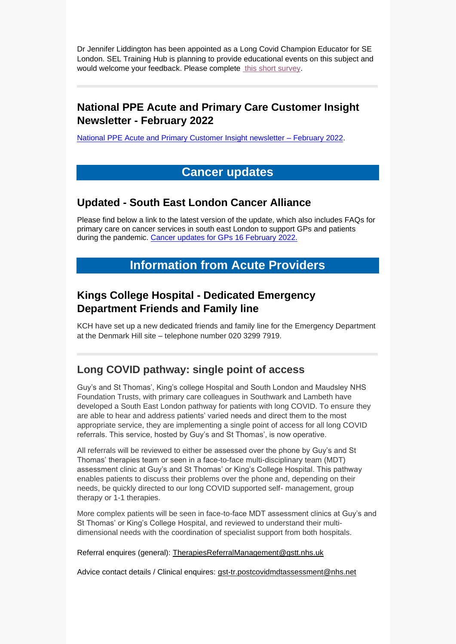Dr Jennifer Liddington has been appointed as a Long Covid Champion Educator for SE London. SEL Training Hub is planning to provide educational events on this subject and would welcome your feedback. Please complete [this short survey.](https://www.surveymonkey.co.uk/r/RK22P3V)

# **National PPE Acute and Primary Care Customer Insight Newsletter - February 2022**

[National PPE Acute and Primary Customer Insight newsletter –](https://sway.office.com/PPdSOAKJKJvlYyTY?ref=Link) February 2022.

# **Cancer updates**

#### **Updated - South East London Cancer Alliance**

Please find below a link to the latest version of the update, which also includes FAQs for primary care on cancer services in south east London to support GPs and patients during the pandemic. [Cancer updates for GPs 16](https://selondonccg.nhs.uk/wp-content/uploads/2022/02/SEL-Cancer-Updates-FAQs-for-Primary-Care-16-Feb-2022.pdf) February 2022.

# **Information from Acute Providers**

# **Kings College Hospital - Dedicated Emergency Department Friends and Family line**

KCH have set up a new dedicated friends and family line for the Emergency Department at the Denmark Hill site – telephone number 020 3299 7919.

#### **Long COVID pathway: single point of access**

Guy's and St Thomas', King's college Hospital and South London and Maudsley NHS Foundation Trusts, with primary care colleagues in Southwark and Lambeth have developed a South East London pathway for patients with long COVID. To ensure they are able to hear and address patients' varied needs and direct them to the most appropriate service, they are implementing a single point of access for all long COVID referrals. This service, hosted by Guy's and St Thomas', is now operative.

All referrals will be reviewed to either be assessed over the phone by Guy's and St Thomas' therapies team or seen in a face-to-face multi-disciplinary team (MDT) assessment clinic at Guy's and St Thomas' or King's College Hospital. This pathway enables patients to discuss their problems over the phone and, depending on their needs, be quickly directed to our long COVID supported self- management, group therapy or 1-1 therapies.

More complex patients will be seen in face-to-face MDT assessment clinics at Guy's and St Thomas' or King's College Hospital, and reviewed to understand their multidimensional needs with the coordination of specialist support from both hospitals.

Referral enquires (general): [TherapiesReferralManagement@gstt.nhs.uk](mailto:TherapiesReferralManagement@gstt.nhs.uk)

Advice contact details / Clinical enquires: [gst-tr.postcovidmdtassessment@nhs.net](mailto:gst-tr.postcovidmdtassessment@nhs.net)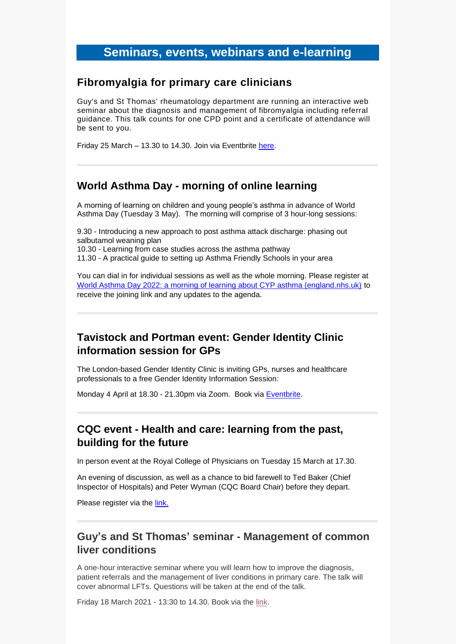## **Seminars, events, webinars and e-learning**

#### **Fibromyalgia for primary care clinicians**

Guy's and St Thomas' rheumatology department are running an interactive web seminar about the diagnosis and management of fibromyalgia including referral guidance. This talk counts for one CPD point and a certificate of attendance will be sent to you.

Friday 25 March – 13.30 to 14.30. Join via Eventbrite [here.](https://www.eventbrite.co.uk/e/fibromyalgia-for-primary-care-clinicians-tickets-265242135367)

#### **World Asthma Day - morning of online learning**

A morning of learning on children and young people's asthma in advance of World Asthma Day (Tuesday 3 May). The morning will comprise of 3 hour-long sessions:

9.30 - Introducing a new approach to post asthma attack discharge: phasing out salbutamol weaning plan

10.30 - Learning from case studies across the asthma pathway

11.30 - A practical guide to setting up Asthma Friendly Schools in your area

You can dial in for individual sessions as well as the whole morning. Please register at [World Asthma Day 2022: a morning of learning about CYP asthma \(england.nhs.uk\)](https://www.events.england.nhs.uk/events/world-asthma-day-2022) to receive the joining link and any updates to the agenda.

## **Tavistock and Portman event: Gender Identity Clinic information session for GPs**

The London-based Gender Identity Clinic is inviting GPs, nurses and healthcare professionals to a free Gender Identity Information Session:

Monday 4 April at 18.30 - 21.30pm via Zoom. Book via [Eventbrite.](https://www.eventbrite.co.uk/e/gender-identity-clinic-information-session-for-gps-april-2022-tickets-266911849527)

#### **CQC event - Health and care: learning from the past, building for the future**

In person event at the Royal College of Physicians on Tuesday 15 March at 17.30.

An evening of discussion, as well as a chance to bid farewell to Ted Baker (Chief Inspector of Hospitals) and Peter Wyman (CQC Board Chair) before they depart.

Please register via the [link.](https://www.eventbrite.co.uk/e/health-and-care-learning-from-the-past-building-for-the-future-tickets-260921221397)

## **Guy's and St Thomas' seminar - Management of common liver conditions**

A one-hour interactive seminar where you will learn how to improve the diagnosis, patient referrals and the management of liver conditions in primary care. The talk will cover abnormal LFTs. Questions will be taken at the end of the talk.

Friday 18 March 2021 - 13:30 to 14.30. Book via the [link.](https://www.eventbrite.co.uk/e/free-lunchtime-seminar-management-of-common-liver-conditions-tickets-266678962957)